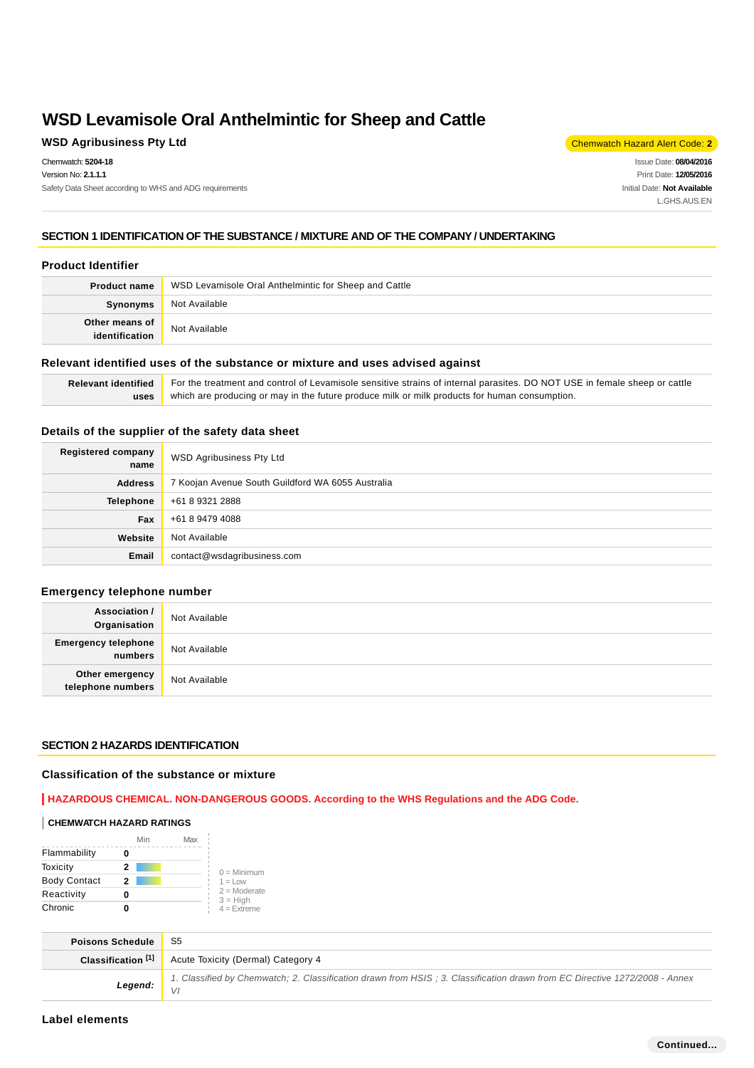### **WSD Agribusiness Pty Ltd** Chemwatch Hazard Alert Code: **2**

Chemwatch: **5204-18** Version No: **2.1.1.1** Safety Data Sheet according to WHS and ADG requirements

Issue Date: **08/04/2016** Print Date: **12/05/2016** Initial Date: **Not Available** L.GHS.AUS.EN

# **SECTION 1 IDENTIFICATION OF THE SUBSTANCE / MIXTURE AND OF THE COMPANY / UNDERTAKING**

### **Product Identifier**

| <b>Product name</b>              | WSD Levamisole Oral Anthelmintic for Sheep and Cattle |  |
|----------------------------------|-------------------------------------------------------|--|
| Synonyms                         | Not Available                                         |  |
| Other means of<br>identification | Not Available                                         |  |

### **Relevant identified uses of the substance or mixture and uses advised against**

| Relevant identified For the treatment and control of Levamisole sensitive strains of internal parasites. DO NOT USE in female sheep or cattle |
|-----------------------------------------------------------------------------------------------------------------------------------------------|
| uses   which are producing or may in the future produce milk or milk products for human consumption.                                          |

# **Details of the supplier of the safety data sheet**

| Registered company<br>name | WSD Agribusiness Pty Ltd                          |
|----------------------------|---------------------------------------------------|
| <b>Address</b>             | 7 Koojan Avenue South Guildford WA 6055 Australia |
| <b>Telephone</b>           | +61 8 9321 2888                                   |
| Fax                        | +61 8 9479 4088                                   |
| Website                    | Not Available                                     |
| Email                      | contact@wsdagribusiness.com                       |

# **Emergency telephone number**

| <b>Association /</b><br>Organisation    | Not Available |
|-----------------------------------------|---------------|
| <b>Emergency telephone</b><br>  numbers | Not Available |
| Other emergency<br>telephone numbers    | Not Available |

# **SECTION 2 HAZARDS IDENTIFICATION**

#### **Classification of the substance or mixture**

**HAZARDOUS CHEMICAL. NON-DANGEROUS GOODS. According to the WHS Regulations and the ADG Code.**

#### **CHEMWATCH HAZARD RATINGS**

|                     | Min | Max |                              |
|---------------------|-----|-----|------------------------------|
| Flammability        |     |     |                              |
| Toxicity            | 2   |     | $0 =$ Minimum                |
| <b>Body Contact</b> | 2   |     | $1 = Low$                    |
| Reactivity          |     |     | $2 =$ Moderate<br>$3 = High$ |
| Chronic             |     |     | $4 =$ Extreme                |

| <b>Poisons Schedule</b> |                                                                                                                            |
|-------------------------|----------------------------------------------------------------------------------------------------------------------------|
|                         | <b>Classification</b> <sup>[1]</sup> Acute Toxicity (Dermal) Category 4                                                    |
| Legend: $\frac{1}{1}$   | 1. Classified by Chemwatch; 2. Classification drawn from HSIS; 3. Classification drawn from EC Directive 1272/2008 - Annex |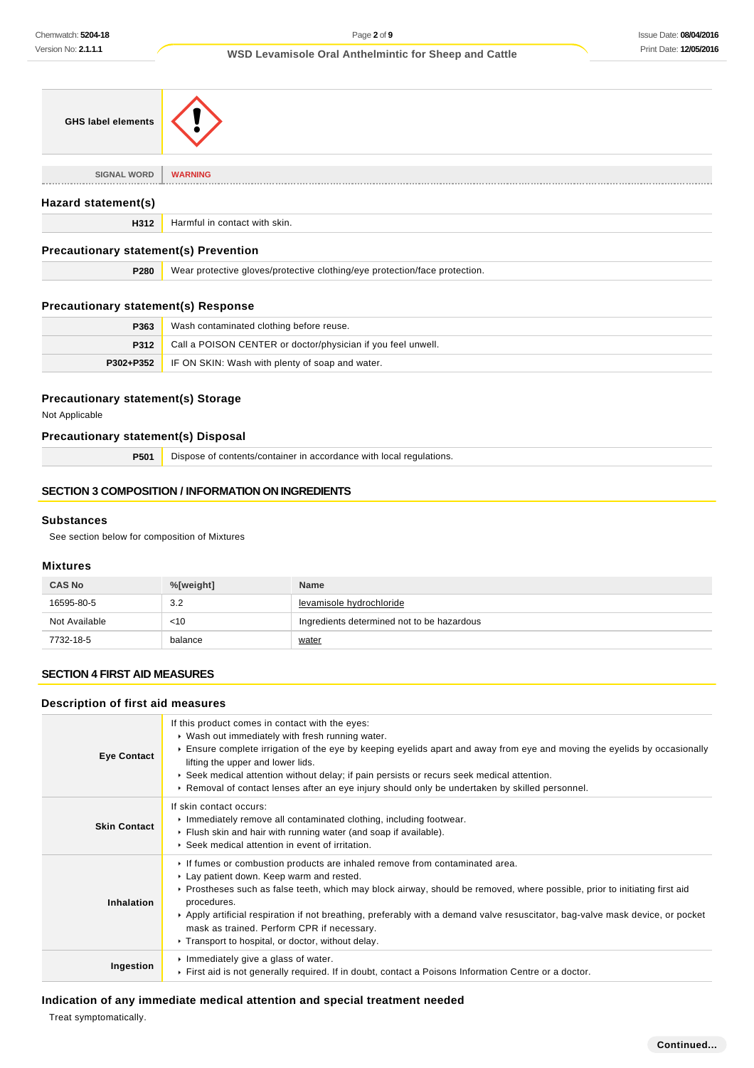| <b>GHS label elements</b>                    |                                                                            |
|----------------------------------------------|----------------------------------------------------------------------------|
| <b>SIGNAL WORD</b>                           | <b>WARNING</b>                                                             |
| Hazard statement(s)                          |                                                                            |
| H312                                         | Harmful in contact with skin.                                              |
| <b>Precautionary statement(s) Prevention</b> |                                                                            |
| P280                                         | Wear protective gloves/protective clothing/eye protection/face protection. |
| <b>Precautionary statement(s) Response</b>   |                                                                            |
| P363                                         | Wash contaminated clothing before reuse.                                   |

| P363 | Wash contaminated clothing before reuse.                         |
|------|------------------------------------------------------------------|
| P312 | Call a POISON CENTER or doctor/physician if you feel unwell.     |
|      | <b>P302+P352</b> IF ON SKIN: Wash with plenty of soap and water. |

# **Precautionary statement(s) Storage**

Not Applicable

# **Precautionary statement(s) Disposal**

**P501** Dispose of contents/container in accordance with local regulations.

# **SECTION 3 COMPOSITION / INFORMATION ON INGREDIENTS**

### **Substances**

See section below for composition of Mixtures

### **Mixtures**

| <b>CAS No</b> | %[weight] | <b>Name</b>                                |
|---------------|-----------|--------------------------------------------|
| 16595-80-5    | 3.2       | levamisole hydrochloride                   |
| Not Available | $<$ 10    | Ingredients determined not to be hazardous |
| 7732-18-5     | balance   | <u>water</u>                               |

# **SECTION 4 FIRST AID MEASURES**

# **Description of first aid measures**

| <b>Eye Contact</b>  | If this product comes in contact with the eyes:<br>▶ Wash out immediately with fresh running water.<br>Ensure complete irrigation of the eye by keeping eyelids apart and away from eye and moving the eyelids by occasionally<br>lifting the upper and lower lids.<br>► Seek medical attention without delay; if pain persists or recurs seek medical attention.<br>► Removal of contact lenses after an eye injury should only be undertaken by skilled personnel.                                     |
|---------------------|----------------------------------------------------------------------------------------------------------------------------------------------------------------------------------------------------------------------------------------------------------------------------------------------------------------------------------------------------------------------------------------------------------------------------------------------------------------------------------------------------------|
| <b>Skin Contact</b> | If skin contact occurs:<br>Immediately remove all contaminated clothing, including footwear.<br>Flush skin and hair with running water (and soap if available).<br>▶ Seek medical attention in event of irritation.                                                                                                                                                                                                                                                                                      |
| Inhalation          | If fumes or combustion products are inhaled remove from contaminated area.<br>► Lay patient down. Keep warm and rested.<br>► Prostheses such as false teeth, which may block airway, should be removed, where possible, prior to initiating first aid<br>procedures.<br>Apply artificial respiration if not breathing, preferably with a demand valve resuscitator, bag-valve mask device, or pocket<br>mask as trained. Perform CPR if necessary.<br>▶ Transport to hospital, or doctor, without delay. |
| Ingestion           | Immediately give a glass of water.<br>First aid is not generally required. If in doubt, contact a Poisons Information Centre or a doctor.                                                                                                                                                                                                                                                                                                                                                                |

# **Indication of any immediate medical attention and special treatment needed**

Treat symptomatically.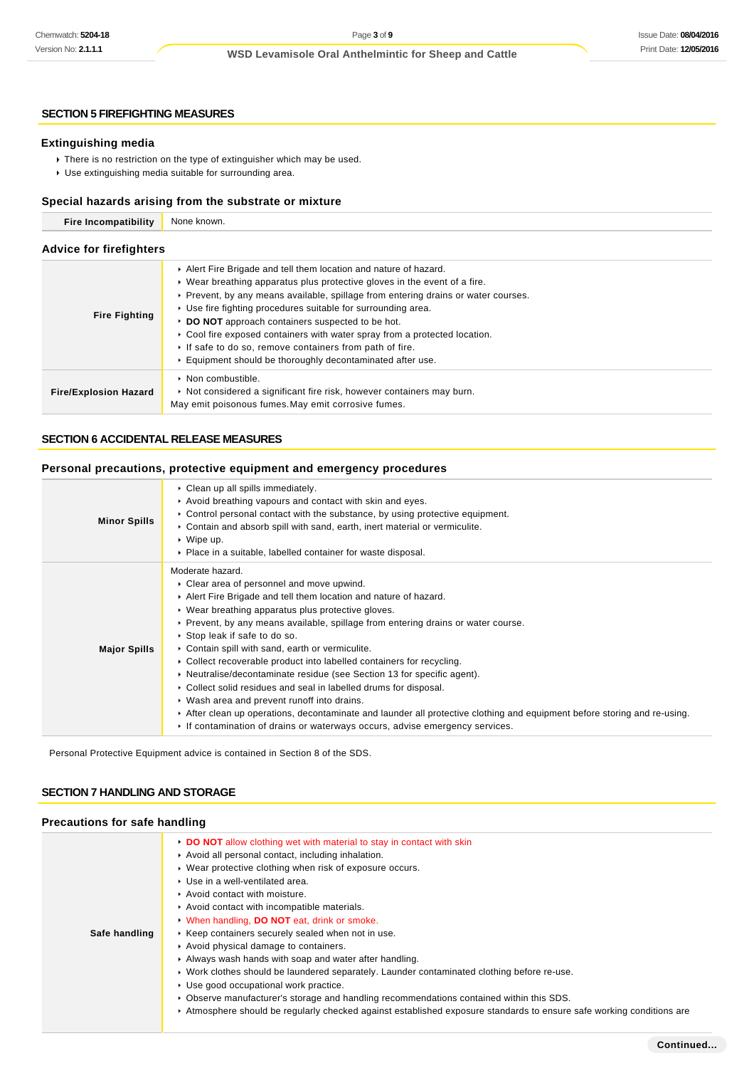### **SECTION 5 FIREFIGHTING MEASURES**

#### **Extinguishing media**

- There is no restriction on the type of extinguisher which may be used.
- Use extinguishing media suitable for surrounding area.

### **Special hazards arising from the substrate or mixture**

| <b>Fire Incompatibility</b>    | None known.                                                                                                                                                                                                                                                                                                                                                                                                                                                                                                                                                               |  |  |
|--------------------------------|---------------------------------------------------------------------------------------------------------------------------------------------------------------------------------------------------------------------------------------------------------------------------------------------------------------------------------------------------------------------------------------------------------------------------------------------------------------------------------------------------------------------------------------------------------------------------|--|--|
| <b>Advice for firefighters</b> |                                                                                                                                                                                                                                                                                                                                                                                                                                                                                                                                                                           |  |  |
| <b>Fire Fighting</b>           | Alert Fire Brigade and tell them location and nature of hazard.<br>$\triangleright$ Wear breathing apparatus plus protective gloves in the event of a fire.<br>► Prevent, by any means available, spillage from entering drains or water courses.<br>▶ Use fire fighting procedures suitable for surrounding area.<br>DO NOT approach containers suspected to be hot.<br>► Cool fire exposed containers with water spray from a protected location.<br>If safe to do so, remove containers from path of fire.<br>Equipment should be thoroughly decontaminated after use. |  |  |
| <b>Fire/Explosion Hazard</b>   | $\triangleright$ Non combustible.<br>• Not considered a significant fire risk, however containers may burn.<br>May emit poisonous fumes. May emit corrosive fumes.                                                                                                                                                                                                                                                                                                                                                                                                        |  |  |

# **SECTION 6 ACCIDENTAL RELEASE MEASURES**

### **Personal precautions, protective equipment and emergency procedures**

| <b>Minor Spills</b> | Clean up all spills immediately.<br>Avoid breathing vapours and contact with skin and eyes.<br>$\triangleright$ Control personal contact with the substance, by using protective equipment.<br>► Contain and absorb spill with sand, earth, inert material or vermiculite.<br>$\triangleright$ Wipe up.<br>• Place in a suitable, labelled container for waste disposal.                                                                                                                                                                                                                                                                                                                                                                                                                                                                           |
|---------------------|----------------------------------------------------------------------------------------------------------------------------------------------------------------------------------------------------------------------------------------------------------------------------------------------------------------------------------------------------------------------------------------------------------------------------------------------------------------------------------------------------------------------------------------------------------------------------------------------------------------------------------------------------------------------------------------------------------------------------------------------------------------------------------------------------------------------------------------------------|
| <b>Major Spills</b> | Moderate hazard.<br>• Clear area of personnel and move upwind.<br>Alert Fire Brigade and tell them location and nature of hazard.<br>▶ Wear breathing apparatus plus protective gloves.<br>► Prevent, by any means available, spillage from entering drains or water course.<br>▶ Stop leak if safe to do so.<br>• Contain spill with sand, earth or vermiculite.<br>► Collect recoverable product into labelled containers for recycling.<br>► Neutralise/decontaminate residue (see Section 13 for specific agent).<br>► Collect solid residues and seal in labelled drums for disposal.<br>▶ Wash area and prevent runoff into drains.<br>After clean up operations, decontaminate and launder all protective clothing and equipment before storing and re-using.<br>If contamination of drains or waterways occurs, advise emergency services. |

Personal Protective Equipment advice is contained in Section 8 of the SDS.

#### **SECTION 7 HANDLING AND STORAGE**

# **Precautions for safe handling**

| recautions for safe handling |                                                                                                                                                                                                                                                                                                                                                                                                                                                                                                                                                                                                                                                                                                                                                                                                                                                                              |  |
|------------------------------|------------------------------------------------------------------------------------------------------------------------------------------------------------------------------------------------------------------------------------------------------------------------------------------------------------------------------------------------------------------------------------------------------------------------------------------------------------------------------------------------------------------------------------------------------------------------------------------------------------------------------------------------------------------------------------------------------------------------------------------------------------------------------------------------------------------------------------------------------------------------------|--|
| Safe handling                | • DO NOT allow clothing wet with material to stay in contact with skin<br>Avoid all personal contact, including inhalation.<br>• Wear protective clothing when risk of exposure occurs.<br>▶ Use in a well-ventilated area.<br>Avoid contact with moisture.<br>Avoid contact with incompatible materials.<br>When handling, DO NOT eat, drink or smoke.<br>▶ Keep containers securely sealed when not in use.<br>Avoid physical damage to containers.<br>Always wash hands with soap and water after handling.<br>▶ Work clothes should be laundered separately. Launder contaminated clothing before re-use.<br>▶ Use good occupational work practice.<br>► Observe manufacturer's storage and handling recommendations contained within this SDS.<br>▶ Atmosphere should be regularly checked against established exposure standards to ensure safe working conditions are |  |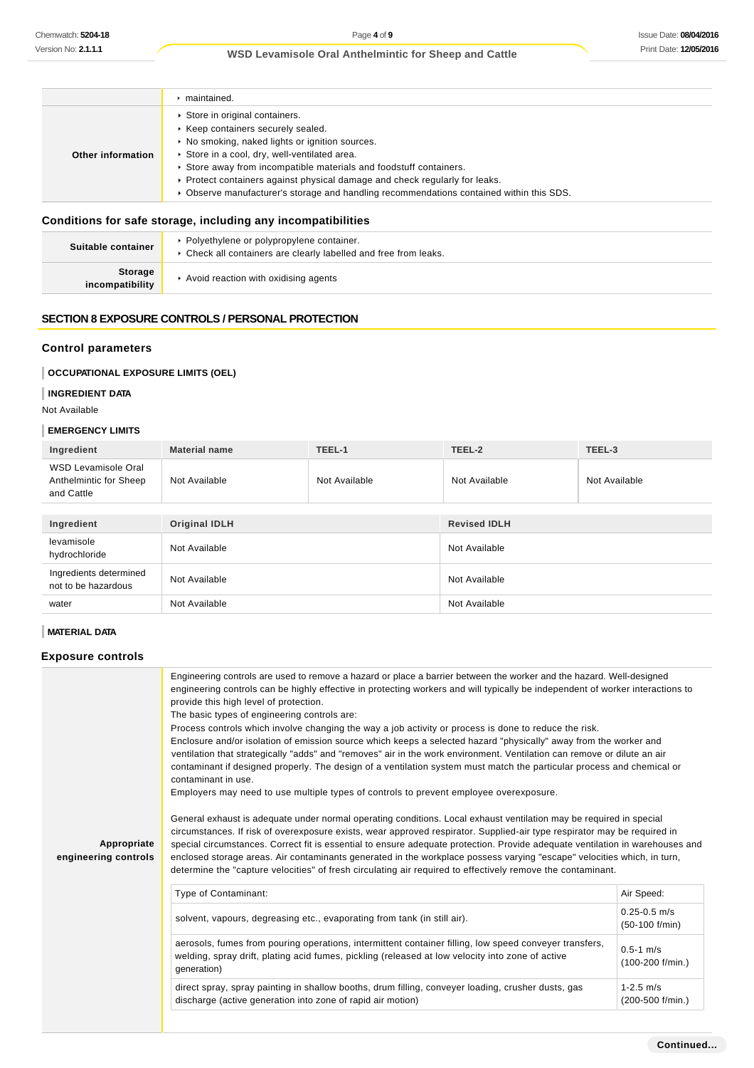|                   | maintained.                                                                                                                                                                                                                                                                                                                                                                                                          |
|-------------------|----------------------------------------------------------------------------------------------------------------------------------------------------------------------------------------------------------------------------------------------------------------------------------------------------------------------------------------------------------------------------------------------------------------------|
| Other information | Store in original containers.<br>▶ Keep containers securely sealed.<br>▶ No smoking, naked lights or ignition sources.<br>Store in a cool, dry, well-ventilated area.<br>Store away from incompatible materials and foodstuff containers.<br>▶ Protect containers against physical damage and check regularly for leaks.<br>▶ Observe manufacturer's storage and handling recommendations contained within this SDS. |
|                   |                                                                                                                                                                                                                                                                                                                                                                                                                      |

# **Conditions for safe storage, including any incompatibilities**

| Suitable container         | • Polyethylene or polypropylene container.<br>▶ Check all containers are clearly labelled and free from leaks. |
|----------------------------|----------------------------------------------------------------------------------------------------------------|
| Storage<br>incompatibility | Avoid reaction with oxidising agents                                                                           |

# **SECTION 8 EXPOSURE CONTROLS / PERSONAL PROTECTION**

### **Control parameters**

# **OCCUPATIONAL EXPOSURE LIMITS (OEL)**

# **INGREDIENT DATA**

# Not Available

#### **EMERGENCY LIMITS**

| Ingredient                                                  | <b>Material name</b> | TEEL-1        | TEEL-2              | TEEL-3        |
|-------------------------------------------------------------|----------------------|---------------|---------------------|---------------|
| WSD Levamisole Oral<br>Anthelmintic for Sheep<br>and Cattle | Not Available        | Not Available | Not Available       | Not Available |
|                                                             |                      |               |                     |               |
| Ingredient                                                  | <b>Original IDLH</b> |               | <b>Revised IDLH</b> |               |
| levamisole<br>hydrochloride                                 | Not Available        |               | Not Available       |               |
| Ingredients determined<br>not to be hazardous               | Not Available        |               | Not Available       |               |
| water                                                       | Not Available        |               | Not Available       |               |

# **MATERIAL DATA**

# **Exposure controls**

| Appropriate<br>engineering controls | Engineering controls are used to remove a hazard or place a barrier between the worker and the hazard. Well-designed<br>engineering controls can be highly effective in protecting workers and will typically be independent of worker interactions to<br>provide this high level of protection.<br>The basic types of engineering controls are:<br>Process controls which involve changing the way a job activity or process is done to reduce the risk.<br>Enclosure and/or isolation of emission source which keeps a selected hazard "physically" away from the worker and<br>ventilation that strategically "adds" and "removes" air in the work environment. Ventilation can remove or dilute an air<br>contaminant if designed properly. The design of a ventilation system must match the particular process and chemical or<br>contaminant in use.<br>Employers may need to use multiple types of controls to prevent employee overexposure.<br>General exhaust is adequate under normal operating conditions. Local exhaust ventilation may be required in special<br>circumstances. If risk of overexposure exists, wear approved respirator. Supplied-air type respirator may be required in<br>special circumstances. Correct fit is essential to ensure adequate protection. Provide adequate ventilation in warehouses and<br>enclosed storage areas. Air contaminants generated in the workplace possess varying "escape" velocities which, in turn,<br>determine the "capture velocities" of fresh circulating air required to effectively remove the contaminant. |                                       |  |
|-------------------------------------|-------------------------------------------------------------------------------------------------------------------------------------------------------------------------------------------------------------------------------------------------------------------------------------------------------------------------------------------------------------------------------------------------------------------------------------------------------------------------------------------------------------------------------------------------------------------------------------------------------------------------------------------------------------------------------------------------------------------------------------------------------------------------------------------------------------------------------------------------------------------------------------------------------------------------------------------------------------------------------------------------------------------------------------------------------------------------------------------------------------------------------------------------------------------------------------------------------------------------------------------------------------------------------------------------------------------------------------------------------------------------------------------------------------------------------------------------------------------------------------------------------------------------------------------------------------------------------------|---------------------------------------|--|
|                                     | Type of Contaminant:                                                                                                                                                                                                                                                                                                                                                                                                                                                                                                                                                                                                                                                                                                                                                                                                                                                                                                                                                                                                                                                                                                                                                                                                                                                                                                                                                                                                                                                                                                                                                                | Air Speed:                            |  |
|                                     | solvent, vapours, degreasing etc., evaporating from tank (in still air).                                                                                                                                                                                                                                                                                                                                                                                                                                                                                                                                                                                                                                                                                                                                                                                                                                                                                                                                                                                                                                                                                                                                                                                                                                                                                                                                                                                                                                                                                                            | $0.25 - 0.5$ m/s<br>$(50-100)$ f/min) |  |
|                                     | aerosols, fumes from pouring operations, intermittent container filling, low speed conveyer transfers,<br>welding, spray drift, plating acid fumes, pickling (released at low velocity into zone of active<br>qeneration)                                                                                                                                                                                                                                                                                                                                                                                                                                                                                                                                                                                                                                                                                                                                                                                                                                                                                                                                                                                                                                                                                                                                                                                                                                                                                                                                                           | $0.5 - 1$ m/s<br>$(100-200$ f/min.)   |  |
|                                     | direct spray, spray painting in shallow booths, drum filling, conveyer loading, crusher dusts, gas<br>discharge (active generation into zone of rapid air motion)                                                                                                                                                                                                                                                                                                                                                                                                                                                                                                                                                                                                                                                                                                                                                                                                                                                                                                                                                                                                                                                                                                                                                                                                                                                                                                                                                                                                                   | $1 - 2.5$ m/s<br>(200-500 f/min.)     |  |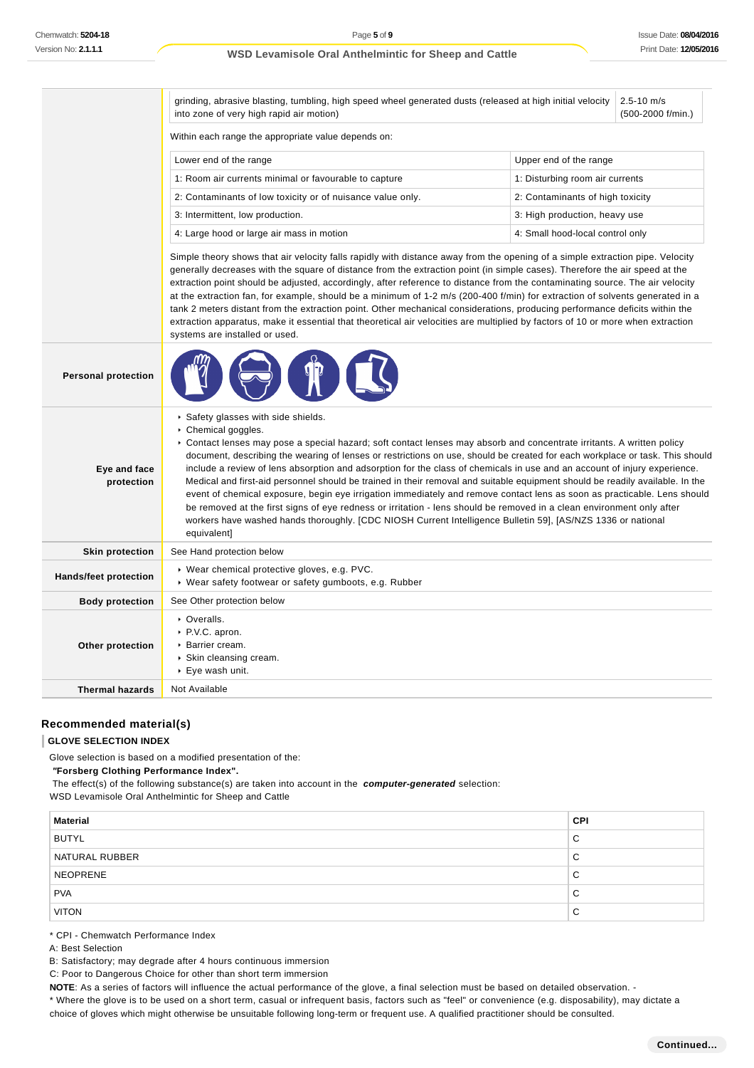|                              | grinding, abrasive blasting, tumbling, high speed wheel generated dusts (released at high initial velocity<br>$2.5 - 10$ m/s<br>into zone of very high rapid air motion)<br>(500-2000 f/min.)                                                                                                                                                                                                                                                                                                                                                                                                                                                                                                                                                                                                                                                                                                                                                                        |                                  |  |  |
|------------------------------|----------------------------------------------------------------------------------------------------------------------------------------------------------------------------------------------------------------------------------------------------------------------------------------------------------------------------------------------------------------------------------------------------------------------------------------------------------------------------------------------------------------------------------------------------------------------------------------------------------------------------------------------------------------------------------------------------------------------------------------------------------------------------------------------------------------------------------------------------------------------------------------------------------------------------------------------------------------------|----------------------------------|--|--|
|                              | Within each range the appropriate value depends on:                                                                                                                                                                                                                                                                                                                                                                                                                                                                                                                                                                                                                                                                                                                                                                                                                                                                                                                  |                                  |  |  |
|                              | Lower end of the range<br>Upper end of the range                                                                                                                                                                                                                                                                                                                                                                                                                                                                                                                                                                                                                                                                                                                                                                                                                                                                                                                     |                                  |  |  |
|                              | 1: Room air currents minimal or favourable to capture<br>1: Disturbing room air currents                                                                                                                                                                                                                                                                                                                                                                                                                                                                                                                                                                                                                                                                                                                                                                                                                                                                             |                                  |  |  |
|                              | 2: Contaminants of low toxicity or of nuisance value only.<br>2: Contaminants of high toxicity                                                                                                                                                                                                                                                                                                                                                                                                                                                                                                                                                                                                                                                                                                                                                                                                                                                                       |                                  |  |  |
|                              | 3: Intermittent, low production.<br>3: High production, heavy use                                                                                                                                                                                                                                                                                                                                                                                                                                                                                                                                                                                                                                                                                                                                                                                                                                                                                                    |                                  |  |  |
|                              | 4: Large hood or large air mass in motion                                                                                                                                                                                                                                                                                                                                                                                                                                                                                                                                                                                                                                                                                                                                                                                                                                                                                                                            | 4: Small hood-local control only |  |  |
|                              | Simple theory shows that air velocity falls rapidly with distance away from the opening of a simple extraction pipe. Velocity<br>generally decreases with the square of distance from the extraction point (in simple cases). Therefore the air speed at the<br>extraction point should be adjusted, accordingly, after reference to distance from the contaminating source. The air velocity<br>at the extraction fan, for example, should be a minimum of 1-2 m/s (200-400 f/min) for extraction of solvents generated in a<br>tank 2 meters distant from the extraction point. Other mechanical considerations, producing performance deficits within the<br>extraction apparatus, make it essential that theoretical air velocities are multiplied by factors of 10 or more when extraction<br>systems are installed or used.                                                                                                                                    |                                  |  |  |
| <b>Personal protection</b>   |                                                                                                                                                                                                                                                                                                                                                                                                                                                                                                                                                                                                                                                                                                                                                                                                                                                                                                                                                                      |                                  |  |  |
| Eye and face<br>protection   | ▶ Safety glasses with side shields.<br>Chemical goggles.<br>► Contact lenses may pose a special hazard; soft contact lenses may absorb and concentrate irritants. A written policy<br>document, describing the wearing of lenses or restrictions on use, should be created for each workplace or task. This should<br>include a review of lens absorption and adsorption for the class of chemicals in use and an account of injury experience.<br>Medical and first-aid personnel should be trained in their removal and suitable equipment should be readily available. In the<br>event of chemical exposure, begin eye irrigation immediately and remove contact lens as soon as practicable. Lens should<br>be removed at the first signs of eye redness or irritation - lens should be removed in a clean environment only after<br>workers have washed hands thoroughly. [CDC NIOSH Current Intelligence Bulletin 59], [AS/NZS 1336 or national<br>equivalent] |                                  |  |  |
| <b>Skin protection</b>       | See Hand protection below                                                                                                                                                                                                                                                                                                                                                                                                                                                                                                                                                                                                                                                                                                                                                                                                                                                                                                                                            |                                  |  |  |
| <b>Hands/feet protection</b> | ▶ Wear chemical protective gloves, e.g. PVC.<br>▶ Wear safety footwear or safety gumboots, e.g. Rubber                                                                                                                                                                                                                                                                                                                                                                                                                                                                                                                                                                                                                                                                                                                                                                                                                                                               |                                  |  |  |
| <b>Body protection</b>       | See Other protection below                                                                                                                                                                                                                                                                                                                                                                                                                                                                                                                                                                                                                                                                                                                                                                                                                                                                                                                                           |                                  |  |  |
| Other protection             | • Overalls.<br>▶ P.V.C. apron.<br>Barrier cream.<br>▶ Skin cleansing cream.<br>$\triangleright$ Eye wash unit.                                                                                                                                                                                                                                                                                                                                                                                                                                                                                                                                                                                                                                                                                                                                                                                                                                                       |                                  |  |  |
| <b>Thermal hazards</b>       | Not Available                                                                                                                                                                                                                                                                                                                                                                                                                                                                                                                                                                                                                                                                                                                                                                                                                                                                                                                                                        |                                  |  |  |

# **Recommended material(s)**

### **GLOVE SELECTION INDEX**

Glove selection is based on a modified presentation of the:

 **"Forsberg Clothing Performance Index".**

The effect(s) of the following substance(s) are taken into account in the **computer-generated** selection:

WSD Levamisole Oral Anthelmintic for Sheep and Cattle

| <b>Material</b> | <b>CPI</b>  |
|-----------------|-------------|
| <b>BUTYL</b>    | C           |
| NATURAL RUBBER  | С           |
| <b>NEOPRENE</b> | C           |
| <b>PVA</b>      | C           |
| <b>VITON</b>    | $\sim$<br>◡ |

\* CPI - Chemwatch Performance Index

- A: Best Selection
- B: Satisfactory; may degrade after 4 hours continuous immersion

C: Poor to Dangerous Choice for other than short term immersion

NOTE: As a series of factors will influence the actual performance of the glove, a final selection must be based on detailed observation. -

\* Where the glove is to be used on a short term, casual or infrequent basis, factors such as "feel" or convenience (e.g. disposability), may dictate a choice of gloves which might otherwise be unsuitable following long-term or frequent use. A qualified practitioner should be consulted.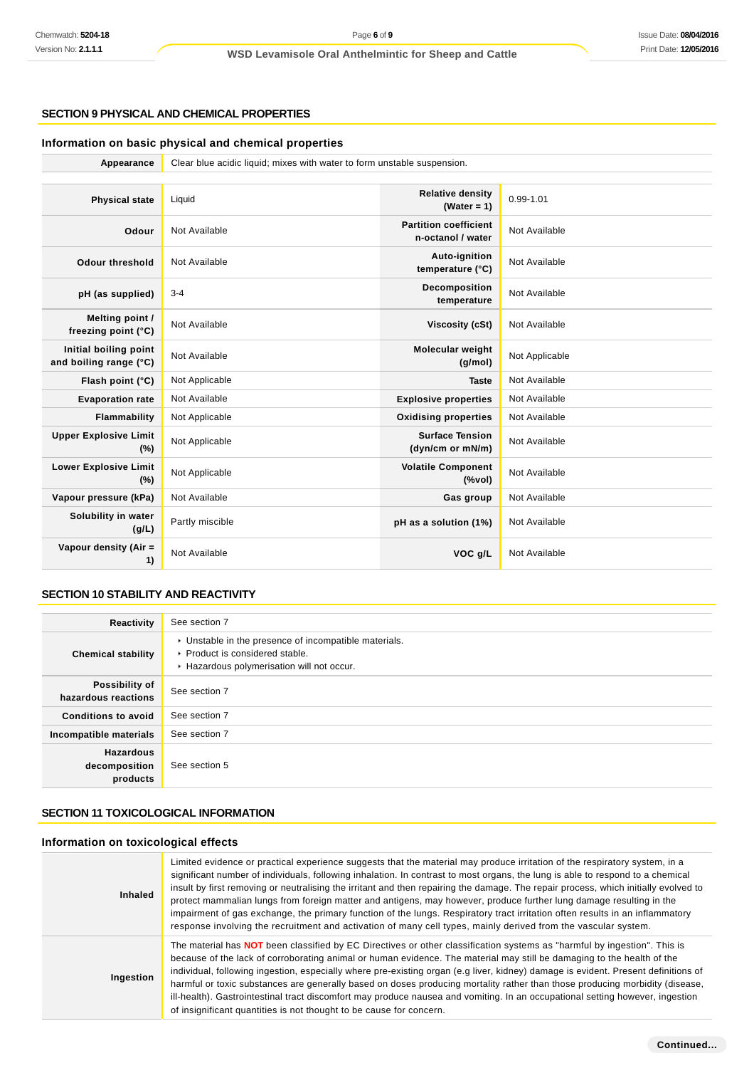# **SECTION 9 PHYSICAL AND CHEMICAL PROPERTIES**

# **Information on basic physical and chemical properties**

| Appearance                                      | Clear blue acidic liquid; mixes with water to form unstable suspension. |                                                   |                |
|-------------------------------------------------|-------------------------------------------------------------------------|---------------------------------------------------|----------------|
|                                                 |                                                                         |                                                   |                |
| <b>Physical state</b>                           | Liquid                                                                  | <b>Relative density</b><br>(Water = $1$ )         | 0.99-1.01      |
| Odour                                           | Not Available                                                           | <b>Partition coefficient</b><br>n-octanol / water | Not Available  |
| <b>Odour threshold</b>                          | Not Available                                                           | Auto-ignition<br>temperature (°C)                 | Not Available  |
| pH (as supplied)                                | $3 - 4$                                                                 | Decomposition<br>temperature                      | Not Available  |
| Melting point /<br>freezing point (°C)          | Not Available                                                           | <b>Viscosity (cSt)</b>                            | Not Available  |
| Initial boiling point<br>and boiling range (°C) | Not Available                                                           | Molecular weight<br>(g/mol)                       | Not Applicable |
| Flash point (°C)                                | Not Applicable                                                          | <b>Taste</b>                                      | Not Available  |
| <b>Evaporation rate</b>                         | Not Available                                                           | <b>Explosive properties</b>                       | Not Available  |
| Flammability                                    | Not Applicable                                                          | <b>Oxidising properties</b>                       | Not Available  |
| <b>Upper Explosive Limit</b><br>(%)             | Not Applicable                                                          | <b>Surface Tension</b><br>(dyn/cm or mN/m)        | Not Available  |
| <b>Lower Explosive Limit</b><br>(%)             | Not Applicable                                                          | <b>Volatile Component</b><br>(%                   | Not Available  |
| Vapour pressure (kPa)                           | Not Available                                                           | Gas group                                         | Not Available  |
| Solubility in water<br>(g/L)                    | Partly miscible                                                         | pH as a solution (1%)                             | Not Available  |
| Vapour density (Air =<br>1)                     | Not Available                                                           | VOC g/L                                           | Not Available  |

### **SECTION 10 STABILITY AND REACTIVITY**

| Reactivity                                    | See section 7                                                                                                                        |
|-----------------------------------------------|--------------------------------------------------------------------------------------------------------------------------------------|
| <b>Chemical stability</b>                     | • Unstable in the presence of incompatible materials.<br>▶ Product is considered stable.<br>Hazardous polymerisation will not occur. |
| Possibility of<br>hazardous reactions         | See section 7                                                                                                                        |
| <b>Conditions to avoid</b>                    | See section 7                                                                                                                        |
| Incompatible materials                        | See section 7                                                                                                                        |
| <b>Hazardous</b><br>decomposition<br>products | See section 5                                                                                                                        |

# **SECTION 11 TOXICOLOGICAL INFORMATION**

# **Information on toxicological effects**

| Inhaled   | Limited evidence or practical experience suggests that the material may produce irritation of the respiratory system, in a<br>significant number of individuals, following inhalation. In contrast to most organs, the lung is able to respond to a chemical<br>insult by first removing or neutralising the irritant and then repairing the damage. The repair process, which initially evolved to<br>protect mammalian lungs from foreign matter and antigens, may however, produce further lung damage resulting in the<br>impairment of gas exchange, the primary function of the lungs. Respiratory tract irritation often results in an inflammatory<br>response involving the recruitment and activation of many cell types, mainly derived from the vascular system. |
|-----------|------------------------------------------------------------------------------------------------------------------------------------------------------------------------------------------------------------------------------------------------------------------------------------------------------------------------------------------------------------------------------------------------------------------------------------------------------------------------------------------------------------------------------------------------------------------------------------------------------------------------------------------------------------------------------------------------------------------------------------------------------------------------------|
| Ingestion | The material has NOT been classified by EC Directives or other classification systems as "harmful by ingestion". This is<br>because of the lack of corroborating animal or human evidence. The material may still be damaging to the health of the<br>individual, following ingestion, especially where pre-existing organ (e.g liver, kidney) damage is evident. Present definitions of<br>harmful or toxic substances are generally based on doses producing mortality rather than those producing morbidity (disease,<br>ill-health). Gastrointestinal tract discomfort may produce nausea and vomiting. In an occupational setting however, ingestion<br>of insignificant quantities is not thought to be cause for concern.                                             |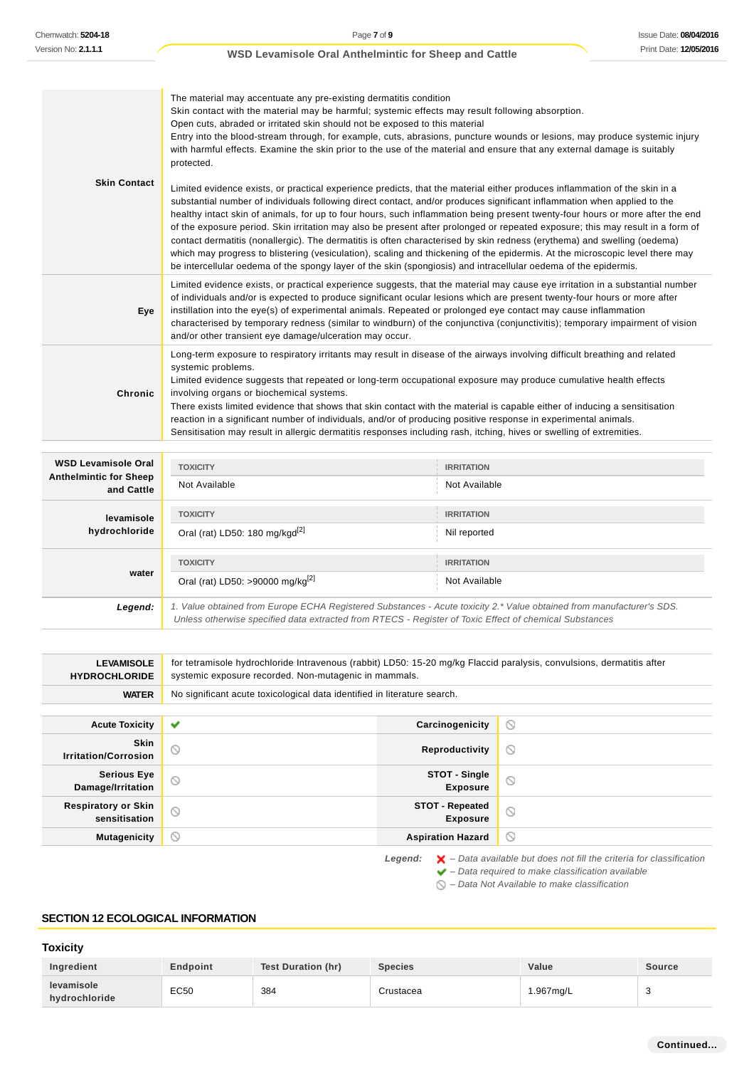| <b>Skin Contact</b> | The material may accentuate any pre-existing dermatitis condition<br>Skin contact with the material may be harmful; systemic effects may result following absorption.<br>Open cuts, abraded or irritated skin should not be exposed to this material<br>Entry into the blood-stream through, for example, cuts, abrasions, puncture wounds or lesions, may produce systemic injury<br>with harmful effects. Examine the skin prior to the use of the material and ensure that any external damage is suitably<br>protected.<br>Limited evidence exists, or practical experience predicts, that the material either produces inflammation of the skin in a<br>substantial number of individuals following direct contact, and/or produces significant inflammation when applied to the<br>healthy intact skin of animals, for up to four hours, such inflammation being present twenty-four hours or more after the end<br>of the exposure period. Skin irritation may also be present after prolonged or repeated exposure; this may result in a form of<br>contact dermatitis (nonallergic). The dermatitis is often characterised by skin redness (erythema) and swelling (oedema)<br>which may progress to blistering (vesiculation), scaling and thickening of the epidermis. At the microscopic level there may<br>be intercellular oedema of the spongy layer of the skin (spongiosis) and intracellular oedema of the epidermis. |
|---------------------|-----------------------------------------------------------------------------------------------------------------------------------------------------------------------------------------------------------------------------------------------------------------------------------------------------------------------------------------------------------------------------------------------------------------------------------------------------------------------------------------------------------------------------------------------------------------------------------------------------------------------------------------------------------------------------------------------------------------------------------------------------------------------------------------------------------------------------------------------------------------------------------------------------------------------------------------------------------------------------------------------------------------------------------------------------------------------------------------------------------------------------------------------------------------------------------------------------------------------------------------------------------------------------------------------------------------------------------------------------------------------------------------------------------------------------------------|
| Eye                 | Limited evidence exists, or practical experience suggests, that the material may cause eye irritation in a substantial number<br>of individuals and/or is expected to produce significant ocular lesions which are present twenty-four hours or more after<br>instillation into the eye(s) of experimental animals. Repeated or prolonged eye contact may cause inflammation<br>characterised by temporary redness (similar to windburn) of the conjunctiva (conjunctivitis); temporary impairment of vision<br>and/or other transient eye damage/ulceration may occur.                                                                                                                                                                                                                                                                                                                                                                                                                                                                                                                                                                                                                                                                                                                                                                                                                                                                 |
| Chronic             | Long-term exposure to respiratory irritants may result in disease of the airways involving difficult breathing and related<br>systemic problems.<br>Limited evidence suggests that repeated or long-term occupational exposure may produce cumulative health effects<br>involving organs or biochemical systems.<br>There exists limited evidence that shows that skin contact with the material is capable either of inducing a sensitisation<br>reaction in a significant number of individuals, and/or of producing positive response in experimental animals.<br>Sensitisation may result in allergic dermatitis responses including rash, itching, hives or swelling of extremities.                                                                                                                                                                                                                                                                                                                                                                                                                                                                                                                                                                                                                                                                                                                                               |

| <b>WSD Levamisole Oral</b><br><b>Anthelmintic for Sheep</b><br>and Cattle | <b>TOXICITY</b>                                                                                                                                                                                                                 | <b>IRRITATION</b> |
|---------------------------------------------------------------------------|---------------------------------------------------------------------------------------------------------------------------------------------------------------------------------------------------------------------------------|-------------------|
|                                                                           | Not Available                                                                                                                                                                                                                   | Not Available     |
| levamisole                                                                | <b>TOXICITY</b>                                                                                                                                                                                                                 | <b>IRRITATION</b> |
| hydrochloride                                                             | Oral (rat) LD50: 180 mg/kgd <sup>[2]</sup>                                                                                                                                                                                      | Nil reported      |
|                                                                           | <b>TOXICITY</b>                                                                                                                                                                                                                 | <b>IRRITATION</b> |
| water                                                                     | Oral (rat) LD50: >90000 mg/kg <sup>[2]</sup>                                                                                                                                                                                    | Not Available     |
| Legend:                                                                   | 1. Value obtained from Europe ECHA Registered Substances - Acute toxicity 2.* Value obtained from manufacturer's SDS.<br>Unless otherwise specified data extracted from RTECS - Register of Toxic Effect of chemical Substances |                   |

| <b>LEVAMISOLE</b><br><b>HYDROCHLORIDE</b>   | for tetramisole hydrochloride Intravenous (rabbit) LD50: 15-20 mg/kg Flaccid paralysis, convulsions, dermatitis after<br>systemic exposure recorded. Non-mutagenic in mammals. |                                           |                                                                                          |
|---------------------------------------------|--------------------------------------------------------------------------------------------------------------------------------------------------------------------------------|-------------------------------------------|------------------------------------------------------------------------------------------|
| <b>WATER</b>                                | No significant acute toxicological data identified in literature search.                                                                                                       |                                           |                                                                                          |
|                                             |                                                                                                                                                                                |                                           |                                                                                          |
| <b>Acute Toxicity</b>                       | ✔                                                                                                                                                                              | Carcinogenicity                           | $\circledcirc$                                                                           |
| <b>Skin</b><br><b>Irritation/Corrosion</b>  | $\odot$                                                                                                                                                                        | Reproductivity                            | $\circledcirc$                                                                           |
| <b>Serious Eye</b><br>Damage/Irritation     | $\circ$                                                                                                                                                                        | STOT - Single<br><b>Exposure</b>          | $\odot$                                                                                  |
| <b>Respiratory or Skin</b><br>sensitisation | Q                                                                                                                                                                              | <b>STOT - Repeated</b><br><b>Exposure</b> | $\circlearrowright$                                                                      |
| <b>Mutagenicity</b>                         | $\circlearrowright$                                                                                                                                                            | <b>Aspiration Hazard</b>                  | $\circledcirc$                                                                           |
|                                             |                                                                                                                                                                                | Legend:                                   | $\blacktriangleright$ – Data available but does not fill the criteria for classification |

 $\blacktriangleright$  – Data required to make classification available

 $\bigcirc$  – Data Not Available to make classification

### **SECTION 12 ECOLOGICAL INFORMATION**

# **Toxicity**

| Ingredient                  | Endpoint | Test Duration (hr) | <b>Species</b> | Value    | <b>Source</b> |
|-----------------------------|----------|--------------------|----------------|----------|---------------|
| levamisole<br>hydrochloride | EC50     | 384                | Crustacea      | .967ma/L |               |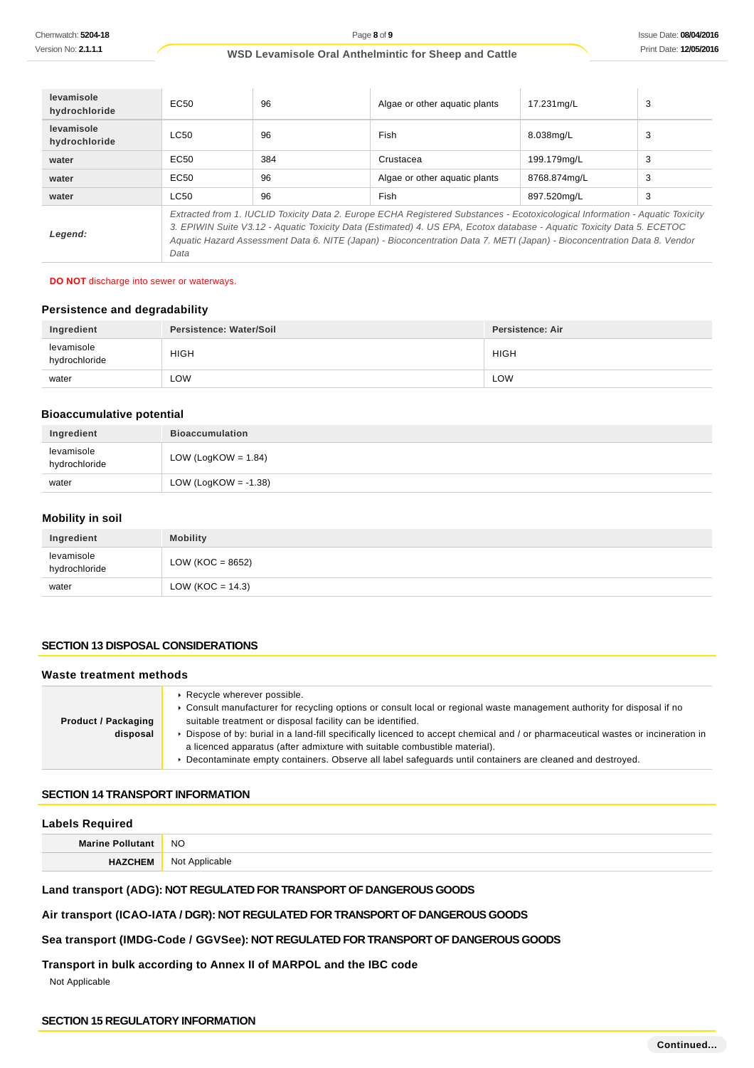| levamisole<br>hydrochloride | EC50                                                                                                                                                                                                                                                                                                                                                                                        | 96  | Algae or other aguatic plants | 17.231mg/L   | 3 |
|-----------------------------|---------------------------------------------------------------------------------------------------------------------------------------------------------------------------------------------------------------------------------------------------------------------------------------------------------------------------------------------------------------------------------------------|-----|-------------------------------|--------------|---|
| levamisole<br>hydrochloride | LC50                                                                                                                                                                                                                                                                                                                                                                                        | 96  | Fish                          | 8.038mg/L    | 3 |
| water                       | EC50                                                                                                                                                                                                                                                                                                                                                                                        | 384 | Crustacea                     | 199.179mg/L  | 3 |
| water                       | EC50                                                                                                                                                                                                                                                                                                                                                                                        | 96  | Algae or other aguatic plants | 8768.874mg/L | 3 |
| water                       | LC50                                                                                                                                                                                                                                                                                                                                                                                        | 96  | Fish                          | 897.520mg/L  | 3 |
| Legend:                     | Extracted from 1. IUCLID Toxicity Data 2. Europe ECHA Registered Substances - Ecotoxicological Information - Aquatic Toxicity<br>3. EPIWIN Suite V3.12 - Aquatic Toxicity Data (Estimated) 4. US EPA, Ecotox database - Aquatic Toxicity Data 5. ECETOC<br>Aquatic Hazard Assessment Data 6. NITE (Japan) - Bioconcentration Data 7. METI (Japan) - Bioconcentration Data 8. Vendor<br>Data |     |                               |              |   |

#### **DO NOT** discharge into sewer or waterways.

### **Persistence and degradability**

| Ingredient                  | Persistence: Water/Soil | Persistence: Air |
|-----------------------------|-------------------------|------------------|
| levamisole<br>hydrochloride | <b>HIGH</b>             | <b>HIGH</b>      |
| water                       | LOW                     | LOW              |

# **Bioaccumulative potential**

| Ingredient                  | <b>Bioaccumulation</b>  |
|-----------------------------|-------------------------|
| levamisole<br>hydrochloride | LOW (LogKOW = $1.84$ )  |
| water                       | LOW (LogKOW = $-1.38$ ) |

# **Mobility in soil**

| Ingredient                  | <b>Mobility</b>      |
|-----------------------------|----------------------|
| levamisole<br>hydrochloride | LOW ( $KOC = 8652$ ) |
| water                       | LOW (KOC = $14.3$ )  |

### **SECTION 13 DISPOSAL CONSIDERATIONS**

#### **Waste treatment methods**

| <b>Product / Packaging</b> | $\triangleright$ Recycle wherever possible.<br>▶ Consult manufacturer for recycling options or consult local or regional waste management authority for disposal if no<br>suitable treatment or disposal facility can be identified. |
|----------------------------|--------------------------------------------------------------------------------------------------------------------------------------------------------------------------------------------------------------------------------------|
| disposal                   | ▶ Dispose of by: burial in a land-fill specifically licenced to accept chemical and / or pharmaceutical wastes or incineration in<br>a licenced apparatus (after admixture with suitable combustible material).                      |
|                            | ▶ Decontaminate empty containers. Observe all label safeguards until containers are cleaned and destroyed.                                                                                                                           |

#### **SECTION 14 TRANSPORT INFORMATION**

### **Labels Required**

| Marin |                |
|-------|----------------|
|       | <b>NO</b>      |
|       | NO.<br>.<br>__ |

# **Land transport (ADG): NOT REGULATED FOR TRANSPORT OF DANGEROUS GOODS**

### **Air transport (ICAO-IATA / DGR): NOT REGULATED FOR TRANSPORT OF DANGEROUS GOODS**

### **Sea transport (IMDG-Code / GGVSee): NOT REGULATED FOR TRANSPORT OF DANGEROUS GOODS**

### **Transport in bulk according to Annex II of MARPOL and the IBC code**

Not Applicable